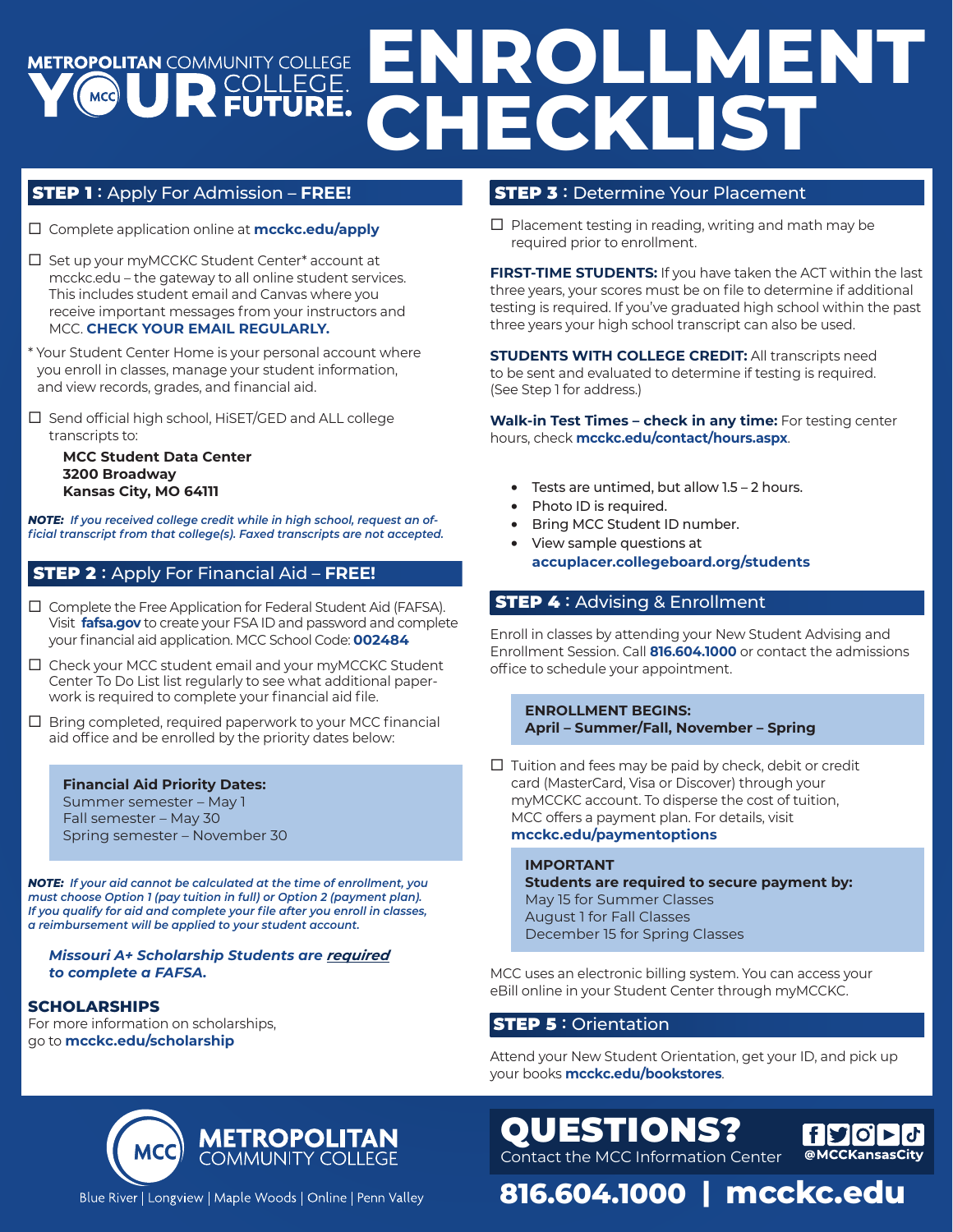# **ENROLLMENT METROPOLITAN COMMUNITY COLLEGE CHECKLIST**

# STEP 1 **:** Apply For Admission – **FREE!**

- Complete application online at **mcckc.edu/apply**
- $\Box$  Set up your myMCCKC Student Center\* account at mcckc.edu – the gateway to all online student services. This includes student email and Canvas where you receive important messages from your instructors and MCC. **CHECK YOUR EMAIL REGULARLY.**
- \* Your Student Center Home is your personal account where you enroll in classes, manage your student information, and view records, grades, and financial aid.
- $\Box$  Send official high school, HiSET/GED and ALL college transcripts to:

**MCC Student Data Center 3200 Broadway Kansas City, MO 64111**

*NOTE: If you received college credit while in high school, request an official transcript from that college(s). Faxed transcripts are not accepted.*

### STEP 2 **:** Apply For Financial Aid – **FREE!**

- $\square$  Complete the Free Application for Federal Student Aid (FAFSA). Visit **fafsa.gov** to create your FSA ID and password and complete your financial aid application. MCC School Code: **002484**
- Check your MCC student email and your myMCCKC Student Center To Do List list regularly to see what additional paperwork is required to complete your financial aid file.
- $\Box$  Bring completed, required paperwork to your MCC financial aid office and be enrolled by the priority dates below:

#### **Financial Aid Priority Dates:**

Summer semester – May 1 Fall semester – May 30 Spring semester – November 30

*NOTE: If your aid cannot be calculated at the time of enrollment, you must choose Option 1 (pay tuition in full) or Option 2 (payment plan). If you qualify for aid and complete your file after you enroll in classes, a reimbursement will be applied to your student account.*

#### *Missouri A+ Scholarship Students are required to complete a FAFSA.*

### **SCHOLARSHIPS**

For more information on scholarships, go to **mcckc.edu/scholarship**

# STEP 3 **:** Determine Your Placement

 $\Box$  Placement testing in reading, writing and math may be required prior to enrollment.

**FIRST-TIME STUDENTS:** If you have taken the ACT within the last three years, your scores must be on file to determine if additional testing is required. If you've graduated high school within the past three years your high school transcript can also be used.

**STUDENTS WITH COLLEGE CREDIT: All transcripts need** to be sent and evaluated to determine if testing is required. (See Step 1 for address.)

**Walk-in Test Times – check in any time:** For testing center hours, check **mcckc.edu/contact/hours.aspx**.

- Tests are untimed, but allow 1.5 2 hours.
- Photo ID is required.
- Bring MCC Student ID number.
- View sample questions at **accuplacer.collegeboard.org/students**

# STEP 4 **:** Advising & Enrollment

Enroll in classes by attending your New Student Advising and Enrollment Session. Call **816.604.1000** or contact the admissions office to schedule your appointment.

#### **ENROLLMENT BEGINS: April – Summer/Fall, November – Spring**

 $\Box$  Tuition and fees may be paid by check, debit or credit card (MasterCard, Visa or Discover) through your myMCCKC account. To disperse the cost of tuition, MCC offers a payment plan. For details, visit **mcckc.edu/paymentoptions**

#### **IMPORTANT**

**Students are required to secure payment by:** May 15 for Summer Classes August 1 for Fall Classes December 15 for Spring Classes

MCC uses an electronic billing system. You can access your eBill online in your Student Center through myMCCKC.

### STEP 5 **:** Orientation

QUESTIONS?

Contact the MCC Information Center

Attend your New Student Orientation, get your ID, and pick up your books **mcckc.edu/bookstores**.

**816.604.1000 | mcckc.edu**

 $|f|$  $|Q| > |Q|$ 



Blue River | Longview | Maple Woods | Online | Penn Valley